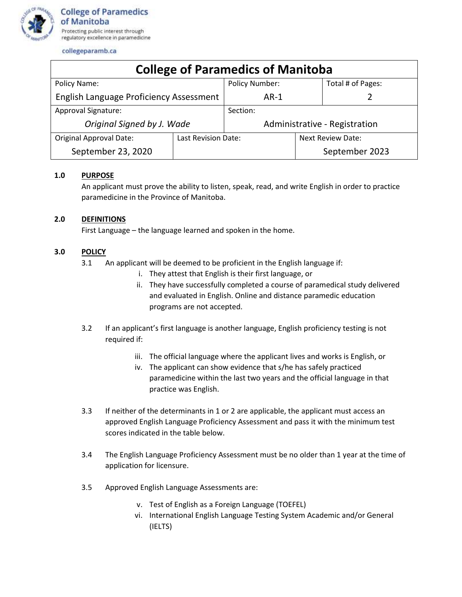

collegeparamb.ca

| <b>College of Paramedics of Manitoba</b>       |                     |                               |                          |                   |  |  |
|------------------------------------------------|---------------------|-------------------------------|--------------------------|-------------------|--|--|
| Policy Name:                                   |                     | <b>Policy Number:</b>         |                          | Total # of Pages: |  |  |
| <b>English Language Proficiency Assessment</b> |                     | $AR-1$                        |                          |                   |  |  |
| Approval Signature:                            |                     | Section:                      |                          |                   |  |  |
| Original Signed by J. Wade                     |                     | Administrative - Registration |                          |                   |  |  |
| <b>Original Approval Date:</b>                 | Last Revision Date: |                               | <b>Next Review Date:</b> |                   |  |  |
| September 23, 2020                             |                     |                               |                          | September 2023    |  |  |

## **1.0 PURPOSE**

An applicant must prove the ability to listen, speak, read, and write English in order to practice paramedicine in the Province of Manitoba.

## **2.0 DEFINITIONS**

First Language – the language learned and spoken in the home.

## **3.0 POLICY**

- 3.1 An applicant will be deemed to be proficient in the English language if:
	- i. They attest that English is their first language, or
	- ii. They have successfully completed a course of paramedical study delivered and evaluated in English. Online and distance paramedic education programs are not accepted.
- 3.2 If an applicant's first language is another language, English proficiency testing is not required if:
	- iii. The official language where the applicant lives and works is English, or
	- iv. The applicant can show evidence that s/he has safely practiced paramedicine within the last two years and the official language in that practice was English.
- 3.3 If neither of the determinants in 1 or 2 are applicable, the applicant must access an approved English Language Proficiency Assessment and pass it with the minimum test scores indicated in the table below.
- 3.4 The English Language Proficiency Assessment must be no older than 1 year at the time of application for licensure.
- 3.5 Approved English Language Assessments are:
	- v. Test of English as a Foreign Language (TOEFEL)
	- vi. International English Language Testing System Academic and/or General (IELTS)